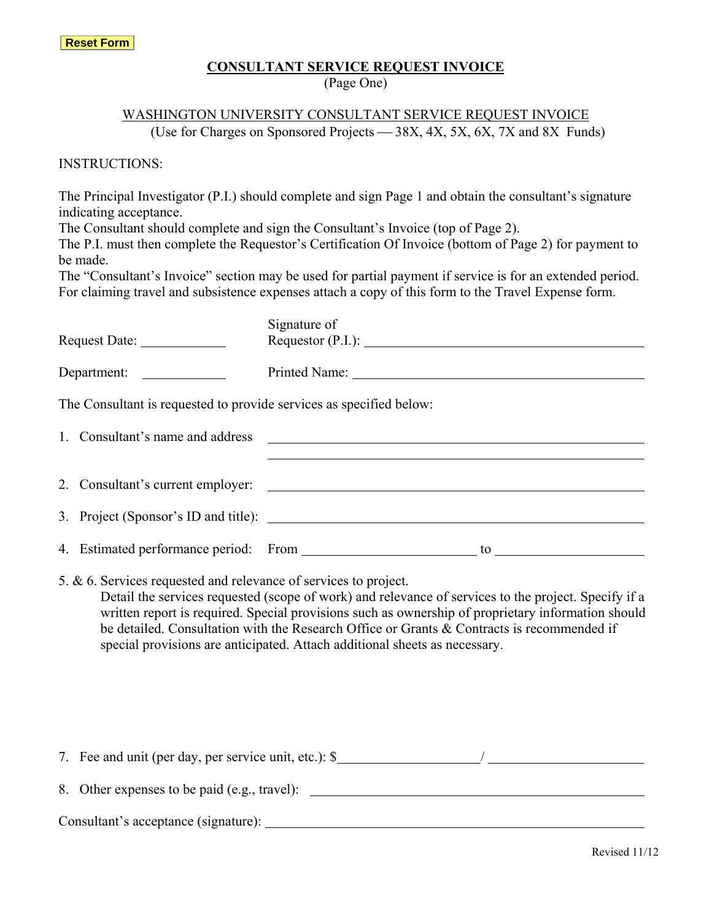#### **CONSULTANT SERVICE REQUEST INVOICE**

(Page One)

# WASHINGTON UNIVERSITY CONSULTANT SERVICE REQUEST INVOICE

(Use for Charges on Sponsored Projects  $-$  38X, 4X, 5X, 6X, 7X and 8X Funds)

INSTRUCTIONS:

The Principal Investigator (P.I.) should complete and sign Page 1 and obtain the consultant's signature indicating acceptance.

The Consultant should complete and sign the Consultant's Invoice (top of Page 2).

The P.I. must then complete the Requestor's Certification Of Invoice (bottom of Page 2) for payment to be made.

The "Consultant's Invoice" section may be used for partial payment if service is for an extended period. For claiming travel and subsistence expenses attach a copy of this form to the Travel Expense form.

|                                                                     | Signature of                                                                                                                                                                                               |  |  |
|---------------------------------------------------------------------|------------------------------------------------------------------------------------------------------------------------------------------------------------------------------------------------------------|--|--|
|                                                                     | Requestor (P.I.):                                                                                                                                                                                          |  |  |
| Department:                                                         |                                                                                                                                                                                                            |  |  |
| The Consultant is requested to provide services as specified below: |                                                                                                                                                                                                            |  |  |
|                                                                     |                                                                                                                                                                                                            |  |  |
|                                                                     |                                                                                                                                                                                                            |  |  |
|                                                                     |                                                                                                                                                                                                            |  |  |
|                                                                     |                                                                                                                                                                                                            |  |  |
|                                                                     |                                                                                                                                                                                                            |  |  |
| 5. & 6. Services requested and relevance of services to project.    | Detail the services requested (scope of work) and relevance of services to the project. Specify if a<br>written report is required. Special provisions such as ownership of proprietary information should |  |  |

written report is required. Special provisions such as ownership of proprietary information should be detailed. Consultation with the Research Office or Grants & Contracts is recommended if special provisions are anticipated. Attach additional sheets as necessary.

7. Fee and unit (per day, per service unit, etc.): \$ / 8. Other expenses to be paid (e.g., travel): Consultant's acceptance (signature):